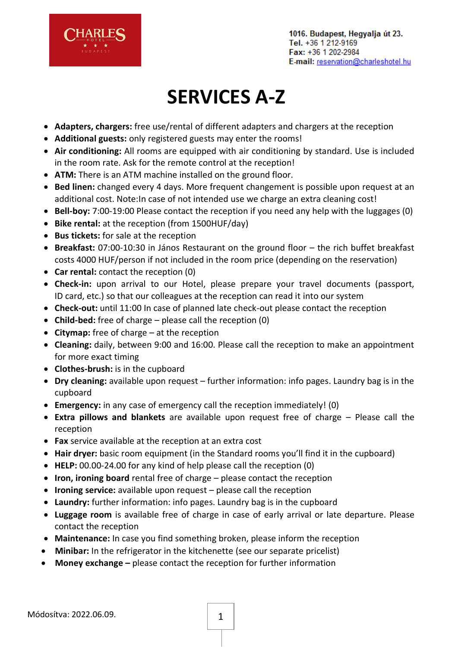

## **SERVICES A-Z**

- **Adapters, chargers:** free use/rental of different adapters and chargers at the reception
- **Additional guests:** only registered guests may enter the rooms!
- **Air conditioning:** All rooms are equipped with air conditioning by standard. Use is included in the room rate. Ask for the remote control at the reception!
- **ATM:** There is an ATM machine installed on the ground floor.
- **Bed linen:** changed every 4 days. More frequent changement is possible upon request at an additional cost. Note:In case of not intended use we charge an extra cleaning cost!
- **Bell-boy:** 7:00-19:00 Please contact the reception if you need any help with the luggages (0)
- **Bike rental:** at the reception (from 1500HUF/day)
- **Bus tickets:** for sale at the reception
- **Breakfast:** 07:00-10:30 in János Restaurant on the ground floor the rich buffet breakfast costs 4000 HUF/person if not included in the room price (depending on the reservation)
- **Car rental:** contact the reception (0)
- **Check-in:** upon arrival to our Hotel, please prepare your travel documents (passport, ID card, etc.) so that our colleagues at the reception can read it into our system
- **Check-out:** until 11:00 In case of planned late check-out please contact the reception
- **Child-bed:** free of charge please call the reception (0)
- **Citymap:** free of charge at the reception
- **Cleaning:** daily, between 9:00 and 16:00. Please call the reception to make an appointment for more exact timing
- **Clothes-brush:** is in the cupboard
- **Dry cleaning:** available upon request further information: info pages. Laundry bag is in the cupboard
- **Emergency:** in any case of emergency call the reception immediately! (0)
- **Extra pillows and blankets** are available upon request free of charge Please call the reception
- **Fax** service available at the reception at an extra cost
- **Hair dryer:** basic room equipment (in the Standard rooms you'll find it in the cupboard)
- **HELP:** 00.00-24.00 for any kind of help please call the reception (0)
- **Iron, ironing board** rental free of charge please contact the reception
- **Ironing service:** available upon request please call the reception
- **Laundry:** further information: info pages. Laundry bag is in the cupboard
- **Luggage room** is available free of charge in case of early arrival or late departure. Please contact the reception
- **Maintenance:** In case you find something broken, please inform the reception
- **Minibar:** In the refrigerator in the kitchenette (see our separate pricelist)
- **Money exchange –** please contact the reception for further information